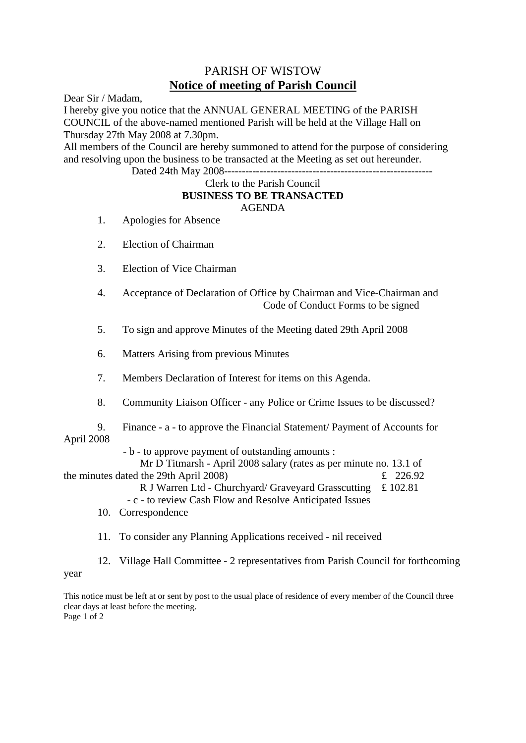## PARISH OF WISTOW **Notice of meeting of Parish Council**

Dear Sir / Madam,

I hereby give you notice that the ANNUAL GENERAL MEETING of the PARISH COUNCIL of the above-named mentioned Parish will be held at the Village Hall on Thursday 27th May 2008 at 7.30pm.

All members of the Council are hereby summoned to attend for the purpose of considering and resolving upon the business to be transacted at the Meeting as set out hereunder.

Dated 24th May 2008-----------------------------------------------------------

## Clerk to the Parish Council **BUSINESS TO BE TRANSACTED** AGENDA

- 1. Apologies for Absence
- 2. Election of Chairman
- 3. Election of Vice Chairman
- 4. Acceptance of Declaration of Office by Chairman and Vice-Chairman and Code of Conduct Forms to be signed
- 5. To sign and approve Minutes of the Meeting dated 29th April 2008
- 6. Matters Arising from previous Minutes
- 7. Members Declaration of Interest for items on this Agenda.
- 8. Community Liaison Officer any Police or Crime Issues to be discussed?
- 9. Finance a to approve the Financial Statement/ Payment of Accounts for April 2008
	- b to approve payment of outstanding amounts :

 Mr D Titmarsh - April 2008 salary (rates as per minute no. 13.1 of the minutes dated the 29th April 2008)  $\epsilon$  226.92

R J Warren Ltd - Churchyard/ Graveyard Grasscutting £ 102.81

- c - to review Cash Flow and Resolve Anticipated Issues

- 10. Correspondence
- 11. To consider any Planning Applications received nil received

 12. Village Hall Committee - 2 representatives from Parish Council for forthcoming year

This notice must be left at or sent by post to the usual place of residence of every member of the Council three clear days at least before the meeting. Page 1 of 2